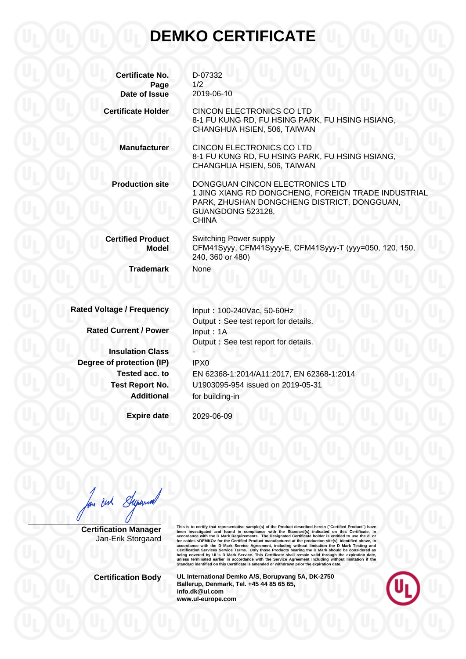## **DEMKO CERTIFICATE**

| <b>Certificate No.</b><br>Page<br>Date of Issue | D-07332<br>1/2<br>2019-06-10                                                                                                                                               |
|-------------------------------------------------|----------------------------------------------------------------------------------------------------------------------------------------------------------------------------|
| <b>Certificate Holder</b>                       | <b>CINCON ELECTRONICS CO LTD</b><br>8-1 FU KUNG RD, FU HSING PARK, FU HSING HSIANG,<br>CHANGHUA HSIEN, 506, TAIWAN                                                         |
| <b>Manufacturer</b>                             | <b>CINCON ELECTRONICS CO LTD</b><br>8-1 FU KUNG RD, FU HSING PARK, FU HSING HSIANG,<br>CHANGHUA HSIEN, 506, TAIWAN                                                         |
| <b>Production site</b>                          | DONGGUAN CINCON ELECTRONICS LTD<br>1 JING XIANG RD DONGCHENG, FOREIGN TRADE INDUSTRIAL<br>PARK, ZHUSHAN DONGCHENG DISTRICT, DONGGUAN,<br>GUANGDONG 523128,<br><b>CHINA</b> |
| <b>Certified Product</b><br>Model               | <b>Switching Power supply</b><br>CFM41Syyy, CFM41Syyy-E, CFM41Syyy-T (yyy=050, 120, 150,<br>240, 360 or 480)                                                               |
| <b>Trademark</b>                                | None                                                                                                                                                                       |
| <b>Rated Voltage / Frequency</b>                | Input: 100-240Vac, 50-60Hz<br>Output : See test report for details.                                                                                                        |
| <b>Rated Current / Power</b>                    | Input: 1A                                                                                                                                                                  |
|                                                 | Output: See test report for details.                                                                                                                                       |
| <b>Insulation Class</b>                         |                                                                                                                                                                            |
| Degree of protection (IP)<br>Tested acc. to     | IPX0                                                                                                                                                                       |
| <b>Test Report No.</b>                          | EN 62368-1:2014/A11:2017, EN 62368-1:2014<br>U1903095-954 issued on 2019-05-31                                                                                             |
| <b>Additional</b>                               | for building-in                                                                                                                                                            |
| <b>Expire date</b>                              | 2029-06-09                                                                                                                                                                 |

But Stepsmall

**Certification Manager** Jan-Erik Storgaard This is to certify that representative sample(s) of the Product described herein ("Certifical Product") have<br>been investigated and found in compliance with the Standard(s) indicated on this Certificate, in<br>accordance with

**Certification Body UL International Demko A/S, Borupvang 5A, DK-2750 Ballerup, Denmark, Tel. +45 44 85 65 65, info.dk@ul.com www.ul-europe.com**